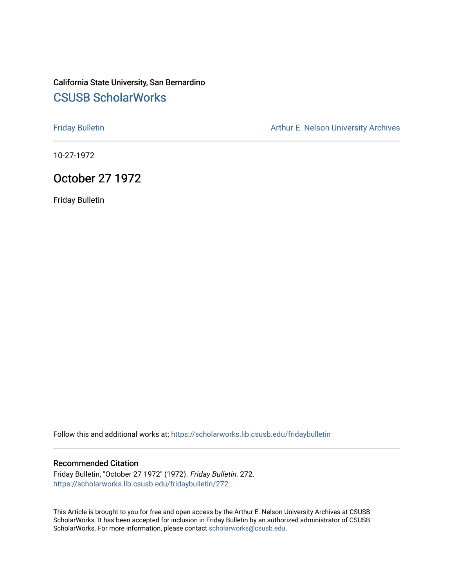## California State University, San Bernardino [CSUSB ScholarWorks](https://scholarworks.lib.csusb.edu/)

[Friday Bulletin](https://scholarworks.lib.csusb.edu/fridaybulletin) **Arthur E. Nelson University Archives** Arthur E. Nelson University Archives

10-27-1972

## October 27 1972

Friday Bulletin

Follow this and additional works at: [https://scholarworks.lib.csusb.edu/fridaybulletin](https://scholarworks.lib.csusb.edu/fridaybulletin?utm_source=scholarworks.lib.csusb.edu%2Ffridaybulletin%2F272&utm_medium=PDF&utm_campaign=PDFCoverPages)

## Recommended Citation

Friday Bulletin, "October 27 1972" (1972). Friday Bulletin. 272. [https://scholarworks.lib.csusb.edu/fridaybulletin/272](https://scholarworks.lib.csusb.edu/fridaybulletin/272?utm_source=scholarworks.lib.csusb.edu%2Ffridaybulletin%2F272&utm_medium=PDF&utm_campaign=PDFCoverPages)

This Article is brought to you for free and open access by the Arthur E. Nelson University Archives at CSUSB ScholarWorks. It has been accepted for inclusion in Friday Bulletin by an authorized administrator of CSUSB ScholarWorks. For more information, please contact [scholarworks@csusb.edu.](mailto:scholarworks@csusb.edu)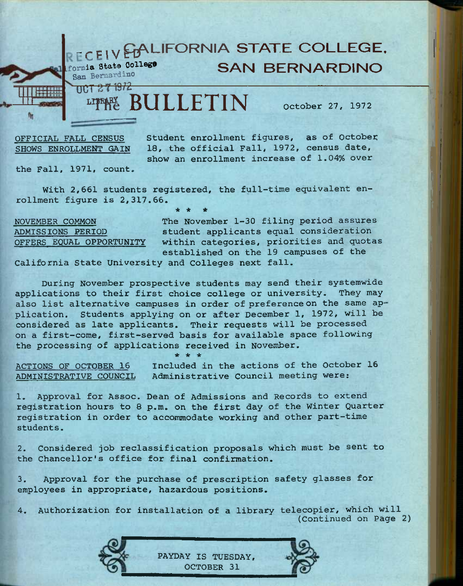

SHOWS ENROLLMENT GAIN

18, the official Fall, 1972, census date, show an enrollment increase of 1.04% over

the Fall, 1971, count,

With 2,661 students registered, the full-time equivalent enrollment figure is 2,317.66. *\* 4e \** 

NOVEMBER COMMON ADMISSIONS PERIOD OFFERS EQUAL OPPORTUNITY

The November 1-30 filing period assures student applicants equal consideration within categories, priorities and quotas established on the 19 campuses of the

California State University and Colleges next fall.

During November prospective students may send their systemwide applications to their first choice college or university. They may also list alternative campuses in order of preference on the same application. Students applying on or after December 1, 1972, will be considered as late applicants. Their requests will be processed on a first-come, first-served basis for available space following the processing of applications received in November. *\* ie ie* 

ACTIONS OF OCTOBER 16 ADMINISTRATIVE COUNCIL

Included in the actions of the October 16 Administrative Council meeting were:

1. Approval for Assoc. Dean of Admissions and Records to extend registration hours to 8 p.m. on the first day of the Winter Quarter registration in order to accommodate working and other part-time students.

2. Considered job reclassification proposals which must be sent to the Chancellor's office for final confirmation.

3. Approval for the purchase of prescription safety glasses for employees in appropriate, hazardous positions.

4. Authorization for installation of a library telecopier, which will (Continued on Page 2)

> PAYDAY IS TUESDAY, OCTOBER 31

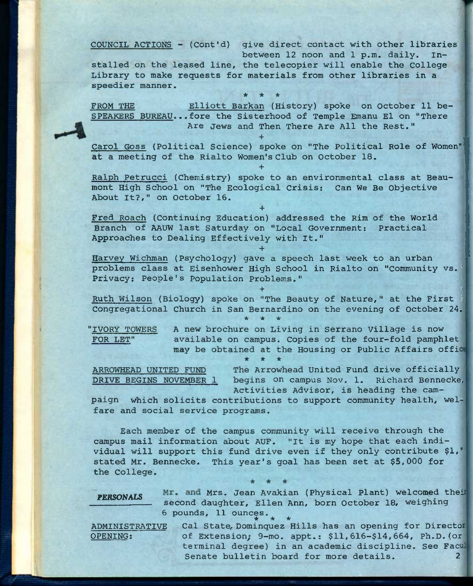COUNCIL ACTIONS - (Cont'd) give direct contact with other libraries between 12 noon and 1 p.m. daily. Installed on the leased line, the telecopier will enable the college Library to make requests for materials from other libraries in a speedier manner.

FROM THE Elliott Barkan (History) spoke on October 11 be-SPEAKERS BUREAU...fore the Sisterhood of Temple Emanu El on "There Are Jews and Then There Are All the Rest."

**\* \* \*** 

**+** 

**+** 

Carol Goss (Political Science) spoke on "The Political Role of Women" at a meeting of the Rialto Women's Club on October 18.

Ralph Petrucci (Chemistry) spoke to an environmental class at Beaumont High School on "The Ecological Crisis: Can We Be Objective About It?," on October 16.

Fred Roach (Continuing Education) addressed the Rim of the World Branch of AAUW last Saturday on "Local Government: Practical Approaches to Dealing Effectively with It."

**+** 

**\* \* \*** 

**+** 

Harvey Wichman (Psychology) gave a speech last week to an urban problems class at Eisenhower High School in Rialto on "Community vs.' Privacy: People's Population Problems."

Ruth Wilson (Biology) spoke on "The Beauty of Nature," at the First Congregational Church in San Bernardino on the evening of October 24.

"IVORY TOWERS FOR LET"

A new brochure on Living in Serrano Village is now available on campus. Copies of the four-fold pamphlet may be obtained at the Housing or Public Affairs offi \* \* \*

 $+$  5  $+$  5  $+$  5  $+$  5  $+$  6  $+$  6  $+$  5  $+$  5  $+$  5  $+$  5  $+$  5  $+$  5  $+$  5  $+$  5  $+$  5  $+$  5  $+$  5  $+$  5  $+$  5  $+$  5  $+$  5  $+$  5  $+$  5  $+$  5  $+$  5  $+$  5  $+$  5  $+$  5  $+$  5  $+$  5  $+$  5  $+$  5  $+$  5  $+$  5  $+$  5  $+$  5  $+$  5

ARROWHEAD UNITED FUND The Arrowhead United Fund drive officially DRIVE BEGINS NOVEMBER 1 begins on campus Nov, 1. Richard Bennecke, Activities Advisor, is heading the cam-

paign which solicits contributions to support community health, welfare and social service programs.

Each member of the campus community will receive through the campus mail information about AUF. "It is my hope that each individual will support this fund drive even if they only contribute \$1,' stated Mr. Bennecke. This year's goal has been set at \$5,000 for the College.

PERSONALS Mr. and Mrs. Jean Avakian (Physical Plant) welcomed their second daughter, Ellen Ann, born October 18, weighing 6 pounds, 11 ounces. **\* \* \*** 

ADMINISTRATIVE Cal State, Dominquez Hills has an opening for Directo OPENING: Of Extension; 9-mo. appt.: \$11,616-\$14,664, Ph.D.(or terminal degree) in an academic discipline. See Fac Senate bulletin board for more details.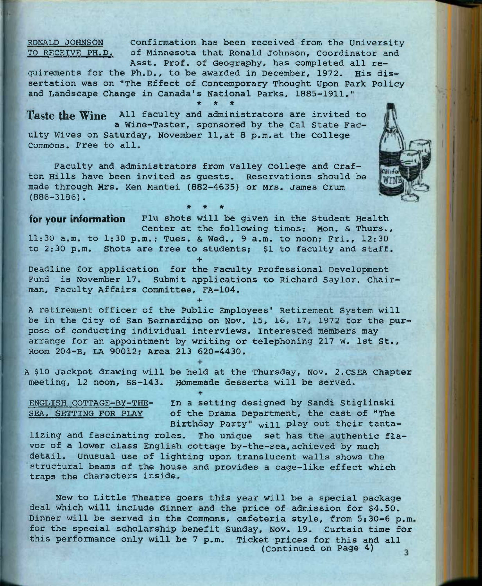RONALD JOHNSON Confirmation has been received from the University TO RECEIVE PH.D. of Minnesota that Ronald Johnson, coordinator and Asst. Prof, of Geography, has completed all re-

quirements for the Ph.D., to be awarded in December, 1972. His dissertation was on "The Effect of Contemporary Thought Upon Park Policy and Landscape Change in Canada's National Parks, 1885-1911." \* \* \*

Taste the Wine All faculty and administrators are invited to a Wine-Taster, sponsored by the Cal State Faculty Wives on Saturday, November 11,at 8 p.m.at the College Commons. Free to all.

Faculty and administrators from Valley College and Crafton Hills have been invited as guests. Reservations should be made through Mrs. Ken Mantei (882-4635) or Mrs. James Crum (886-3186). *\* \* ie* 

**for your information** Flu shots will be given in the Student Health Center at the following times: Mon. & Thurs., 11:30 a.m. to 1:30 p.m.; Tues. & Wed., 9 a.m. to noon; Fri., 12:30 to 2:30 p.m. Shots are free to students; \$1 to faculty and staff. **+** 

Deadline for application for the Faculty Professional Development Fund is November 17. Submit applications to Richard Saylor, Chairman, Faculty Affairs Committee, FA-104.

**+** 

**+** 

**+** 

A retirement officer of the Public Employees' Retirement System will be in the City of San Bernardino on Nov, 15, 16, 17, 1972 for the purpose of conducting individual interviews, interested members may arrange for an appointment by writing or telephoning 217 W. 1st St., Room 204-B, LA 90012; Area 213 620-4430.

A \$10 Jackpot drawing will be held at the Thursday, Nov, 2,CSEA Chapter meeting, 12 noon, SS-143. Homemade desserts will be served.

ENGLISH COTTAGE-BY-THE- In a setting designed by Sandi Stiglinski SEA, SETTING FOR PLAY of the Drama Department, the cast of "The Birthday Party" will play out their tanta-

lizing and fascinating roles. The unique set has the authentic flavor of a lower class English cottage by-the-sea,achieved by much detail. Unusual use of lighting upon translucent walls shows the structural beams of the house and provides a cage-like effect which traps the characters inside-

New to Little Theatre goers this year will be a special package deal which will include dinner and the price of admission for \$4.50. Dinner will be served in the Commons, cafeteria style, from 5:30-6 p.m for the special scholarship benefit Sunday, Nov. 19. Curtain time for this performance only will be 7 p.m. Ticket prices for this and all (Continued on Page 4)